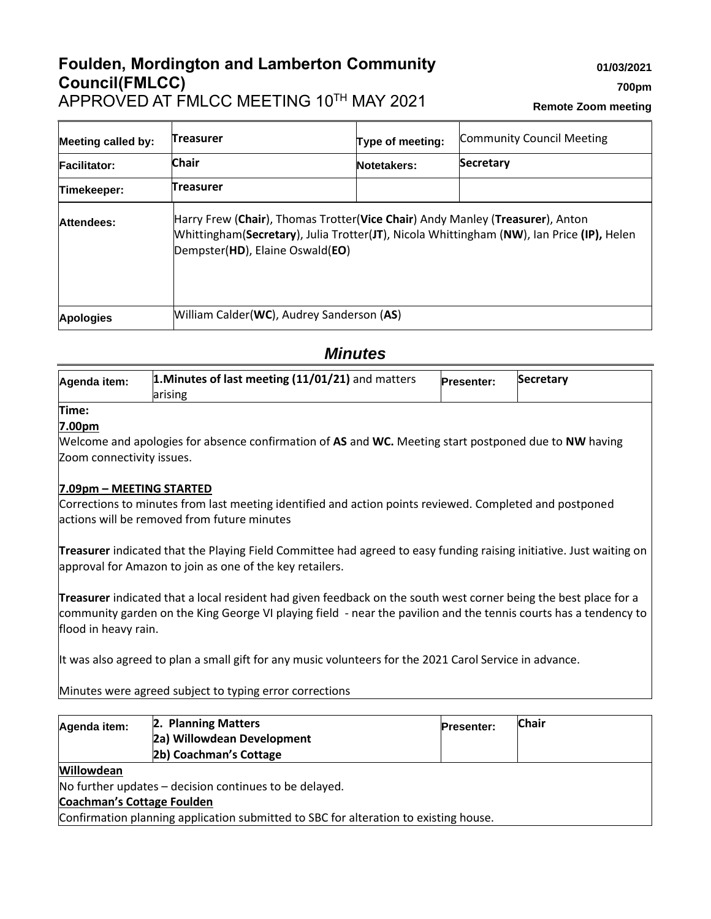## **Foulden, Mordington and Lamberton Community Council(FMLCC)** APPROVED AT FMLCC MEETING 10TH MAY 2021

**700pm**

**01/03/2021**

**Remote Zoom meeting**

| <b>Meeting called by:</b> | <b>Treasurer</b>                          | Type of meeting:                                                                                                                                                           | <b>Community Council Meeting</b> |
|---------------------------|-------------------------------------------|----------------------------------------------------------------------------------------------------------------------------------------------------------------------------|----------------------------------|
| <b>Facilitator:</b>       | <b>Chair</b>                              | Notetakers:                                                                                                                                                                | <b>Secretary</b>                 |
| Timekeeper:               | <b>Treasurer</b>                          |                                                                                                                                                                            |                                  |
| Attendees:                | Dempster(HD), Elaine Oswald(EO)           | Harry Frew (Chair), Thomas Trotter(Vice Chair) Andy Manley (Treasurer), Anton<br>Whittingham(Secretary), Julia Trotter(JT), Nicola Whittingham (NW), Ian Price (IP), Helen |                                  |
| <b>Apologies</b>          | William Calder(WC), Audrey Sanderson (AS) |                                                                                                                                                                            |                                  |

# *Minutes*

| Agenda item: | 1. Minutes of last meeting (11/01/21) and matters<br>larising | <b>Presenter:</b> | Secretary |
|--------------|---------------------------------------------------------------|-------------------|-----------|
| Time:        |                                                               |                   |           |

## **7.00pm**

Welcome and apologies for absence confirmation of **AS** and **WC.** Meeting start postponed due to **NW** having Zoom connectivity issues.

## **7.09pm – MEETING STARTED**

Corrections to minutes from last meeting identified and action points reviewed. Completed and postponed actions will be removed from future minutes

**Treasurer** indicated that the Playing Field Committee had agreed to easy funding raising initiative. Just waiting on approval for Amazon to join as one of the key retailers.

**Treasurer** indicated that a local resident had given feedback on the south west corner being the best place for a community garden on the King George VI playing field - near the pavilion and the tennis courts has a tendency to flood in heavy rain.

It was also agreed to plan a small gift for any music volunteers for the 2021 Carol Service in advance.

Minutes were agreed subject to typing error corrections

| Agenda item:                                                                         | 2. Planning Matters                                    | <b>Presenter:</b> | <b>Chair</b> |  |
|--------------------------------------------------------------------------------------|--------------------------------------------------------|-------------------|--------------|--|
|                                                                                      | 2a) Willowdean Development                             |                   |              |  |
|                                                                                      | 2b) Coachman's Cottage                                 |                   |              |  |
| <b>Willowdean</b>                                                                    |                                                        |                   |              |  |
|                                                                                      | No further updates – decision continues to be delayed. |                   |              |  |
| Coachman's Cottage Foulden                                                           |                                                        |                   |              |  |
| Confirmation planning application submitted to SBC for alteration to existing house. |                                                        |                   |              |  |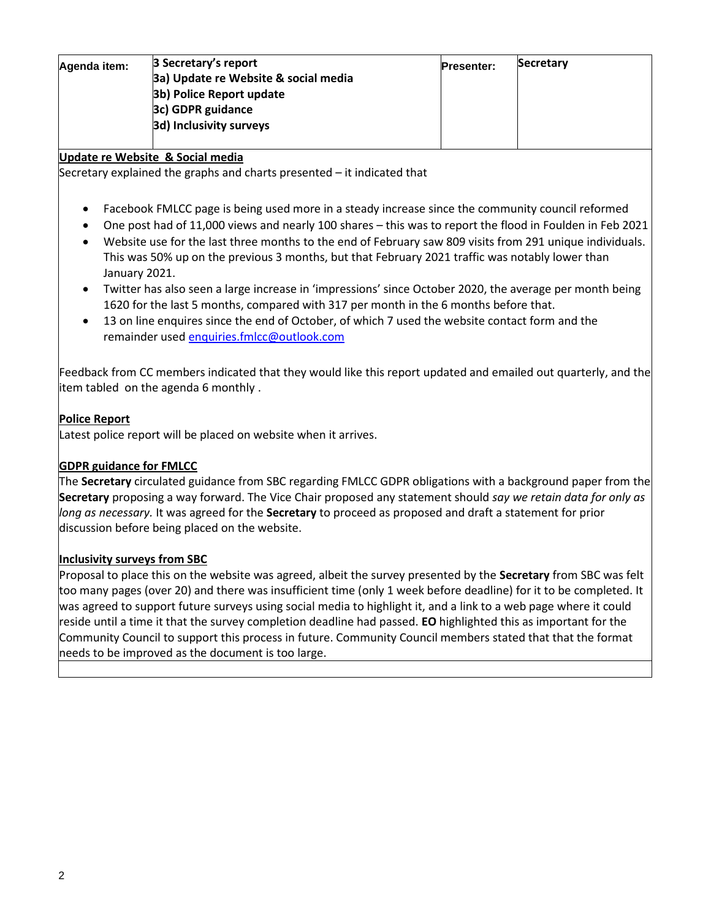| Agenda item: | 3 Secretary's report                 | <b>Presenter:</b> | Secretary |
|--------------|--------------------------------------|-------------------|-----------|
|              | 3a) Update re Website & social media |                   |           |
|              | 3b) Police Report update             |                   |           |
|              | 3c) GDPR guidance                    |                   |           |
|              | 3d) Inclusivity surveys              |                   |           |
|              |                                      |                   |           |

#### **Update re Website & Social media**

Secretary explained the graphs and charts presented – it indicated that

- Facebook FMLCC page is being used more in a steady increase since the community council reformed
- One post had of 11,000 views and nearly 100 shares this was to report the flood in Foulden in Feb 2021
- Website use for the last three months to the end of February saw 809 visits from 291 unique individuals. This was 50% up on the previous 3 months, but that February 2021 traffic was notably lower than January 2021.
- Twitter has also seen a large increase in 'impressions' since October 2020, the average per month being 1620 for the last 5 months, compared with 317 per month in the 6 months before that.
- 13 on line enquires since the end of October, of which 7 used the website contact form and the remainder used [enquiries.fmlcc@outlook.com](mailto:enquiries.fmlcc@outlook.com)

Feedback from CC members indicated that they would like this report updated and emailed out quarterly, and the item tabled on the agenda 6 monthly .

### **Police Report**

Latest police report will be placed on website when it arrives.

## **GDPR guidance for FMLCC**

The **Secretary** circulated guidance from SBC regarding FMLCC GDPR obligations with a background paper from the **Secretary** proposing a way forward. The Vice Chair proposed any statement should *say we retain data for only as long as necessary.* It was agreed for the **Secretary** to proceed as proposed and draft a statement for prior discussion before being placed on the website.

#### **Inclusivity surveys from SBC**

Proposal to place this on the website was agreed, albeit the survey presented by the **Secretary** from SBC was felt too many pages (over 20) and there was insufficient time (only 1 week before deadline) for it to be completed. It was agreed to support future surveys using social media to highlight it, and a link to a web page where it could reside until a time it that the survey completion deadline had passed. **EO** highlighted this as important for the Community Council to support this process in future. Community Council members stated that that the format needs to be improved as the document is too large.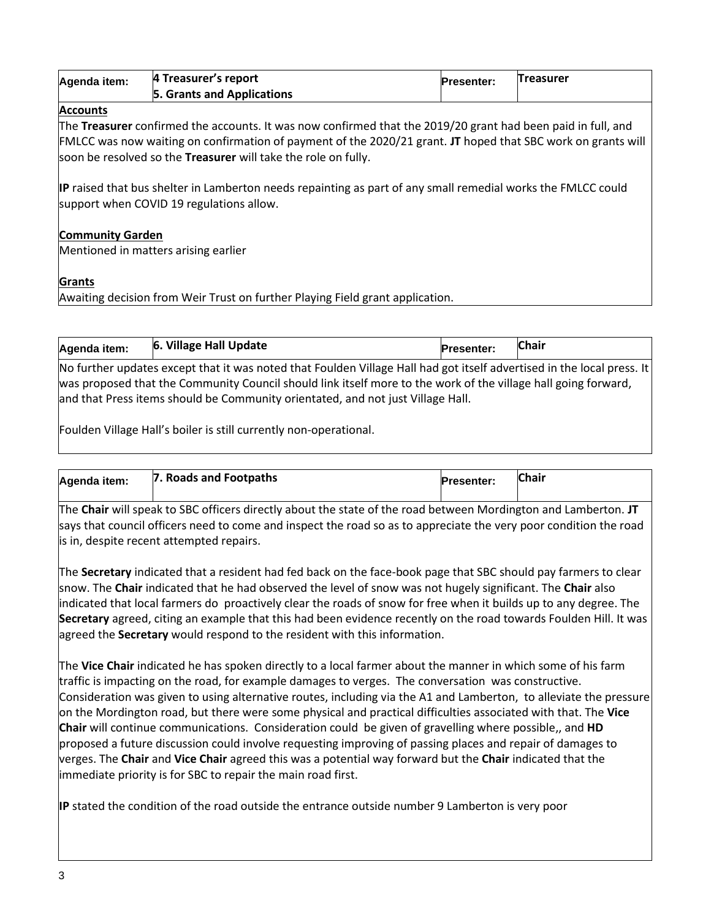| Agenda item: | 4 Treasurer's report       | <b>Presenter:</b> | <b>Treasurer</b> |
|--------------|----------------------------|-------------------|------------------|
|              | 5. Grants and Applications |                   |                  |

### **Accounts**

The **Treasurer** confirmed the accounts. It was now confirmed that the 2019/20 grant had been paid in full, and FMLCC was now waiting on confirmation of payment of the 2020/21 grant. **JT** hoped that SBC work on grants will soon be resolved so the **Treasurer** will take the role on fully.

**IP** raised that bus shelter in Lamberton needs repainting as part of any small remedial works the FMLCC could support when COVID 19 regulations allow.

#### **Community Garden**

Mentioned in matters arising earlier

### **Grants**

Awaiting decision from Weir Trust on further Playing Field grant application.

and that Press items should be Community orientated, and not just Village Hall.

| Agenda item:                                                                                                           | 6. Village Hall Update | <b>Presenter:</b> | <b>Chair</b> |
|------------------------------------------------------------------------------------------------------------------------|------------------------|-------------------|--------------|
| No further updates except that it was noted that Foulden Village Hall had got itself advertised in the local press. It |                        |                   |              |
| was proposed that the Community Council should link itself more to the work of the village hall going forward,         |                        |                   |              |

Foulden Village Hall's boiler is still currently non-operational.

| Agenda item: | 7. Roads and Footpaths | <b>Presenter:</b> | <b>Chair</b> |
|--------------|------------------------|-------------------|--------------|
|              |                        |                   |              |

The **Chair** will speak to SBC officers directly about the state of the road between Mordington and Lamberton. **JT** says that council officers need to come and inspect the road so as to appreciate the very poor condition the road is in, despite recent attempted repairs.

The **Secretary** indicated that a resident had fed back on the face-book page that SBC should pay farmers to clear snow. The **Chair** indicated that he had observed the level of snow was not hugely significant. The **Chair** also indicated that local farmers do proactively clear the roads of snow for free when it builds up to any degree. The **Secretary** agreed, citing an example that this had been evidence recently on the road towards Foulden Hill. It was agreed the **Secretary** would respond to the resident with this information.

The **Vice Chair** indicated he has spoken directly to a local farmer about the manner in which some of his farm traffic is impacting on the road, for example damages to verges. The conversation was constructive. Consideration was given to using alternative routes, including via the A1 and Lamberton, to alleviate the pressure on the Mordington road, but there were some physical and practical difficulties associated with that. The **Vice Chair** will continue communications. Consideration could be given of gravelling where possible,, and **HD** proposed a future discussion could involve requesting improving of passing places and repair of damages to verges. The **Chair** and **Vice Chair** agreed this was a potential way forward but the **Chair** indicated that the immediate priority is for SBC to repair the main road first.

**IP** stated the condition of the road outside the entrance outside number 9 Lamberton is very poor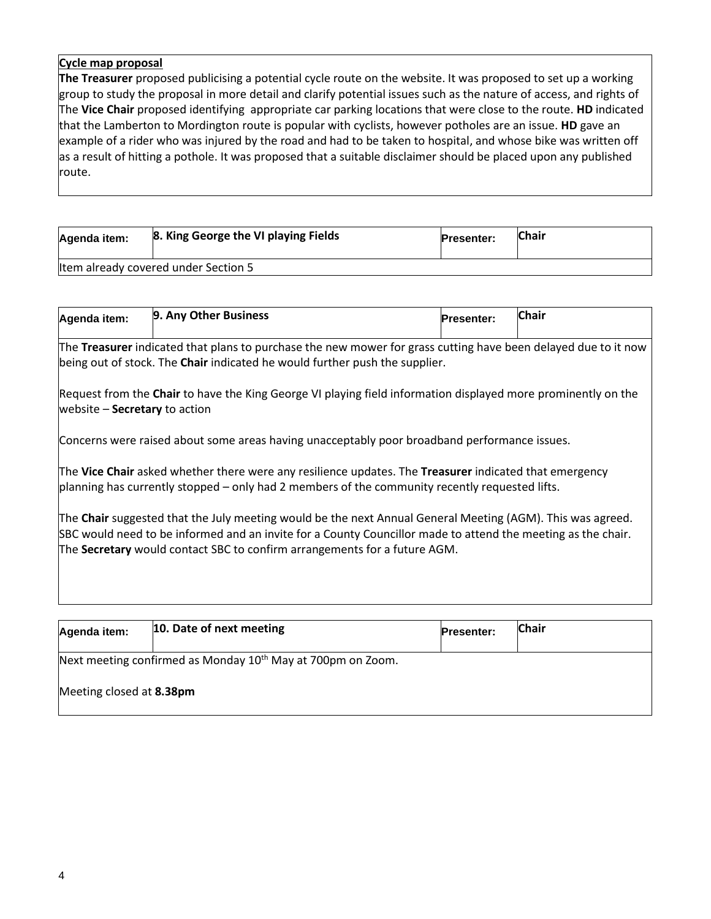#### **Cycle map proposal**

**The Treasurer** proposed publicising a potential cycle route on the website. It was proposed to set up a working group to study the proposal in more detail and clarify potential issues such as the nature of access, and rights of The **Vice Chair** proposed identifying appropriate car parking locations that were close to the route. **HD** indicated that the Lamberton to Mordington route is popular with cyclists, however potholes are an issue. **HD** gave an example of a rider who was injured by the road and had to be taken to hospital, and whose bike was written off as a result of hitting a pothole. It was proposed that a suitable disclaimer should be placed upon any published route.

| Agenda item:                         | 8. King George the VI playing Fields | <b>Presenter:</b> | Chair |
|--------------------------------------|--------------------------------------|-------------------|-------|
| Item already covered under Section 5 |                                      |                   |       |

| Agenda item: | 9. Any Other Business | <b>Presenter:</b> | <b>Chair</b> |
|--------------|-----------------------|-------------------|--------------|
|              |                       |                   |              |

The **Treasurer** indicated that plans to purchase the new mower for grass cutting have been delayed due to it now being out of stock. The **Chair** indicated he would further push the supplier.

Request from the **Chair** to have the King George VI playing field information displayed more prominently on the website – **Secretary** to action

Concerns were raised about some areas having unacceptably poor broadband performance issues.

The **Vice Chair** asked whether there were any resilience updates. The **Treasurer** indicated that emergency planning has currently stopped – only had 2 members of the community recently requested lifts.

The **Chair** suggested that the July meeting would be the next Annual General Meeting (AGM). This was agreed. SBC would need to be informed and an invite for a County Councillor made to attend the meeting as the chair. The **Secretary** would contact SBC to confirm arrangements for a future AGM.

| Agenda item:                                                            | 10. Date of next meeting | <b>Presenter:</b> | <b>Chair</b> |  |
|-------------------------------------------------------------------------|--------------------------|-------------------|--------------|--|
| Next meeting confirmed as Monday 10 <sup>th</sup> May at 700pm on Zoom. |                          |                   |              |  |
| Meeting closed at 8.38pm                                                |                          |                   |              |  |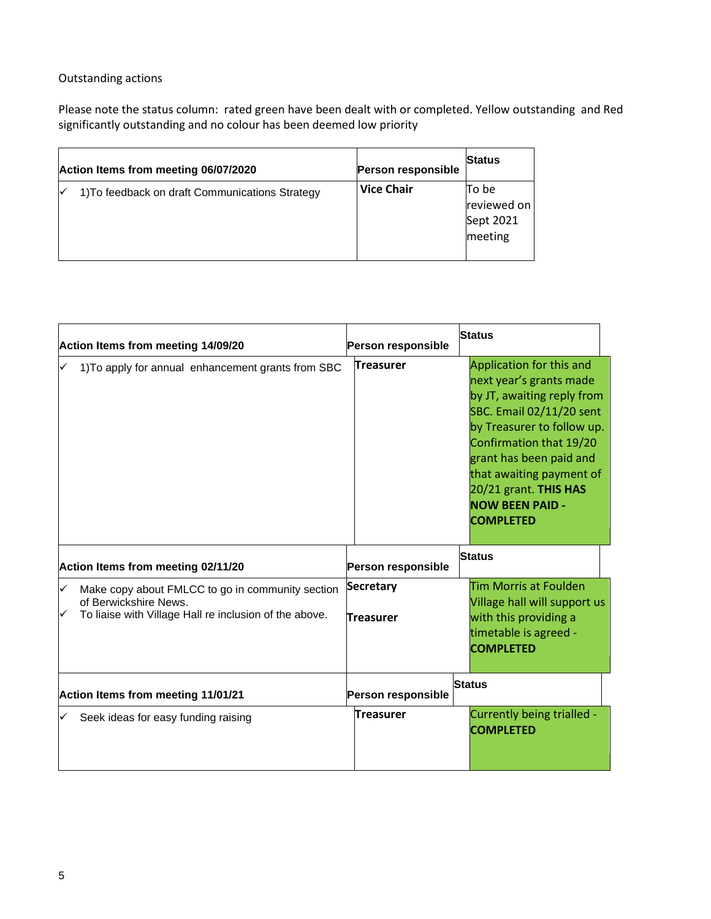## Outstanding actions

Please note the status column: rated green have been dealt with or completed. Yellow outstanding and Red significantly outstanding and no colour has been deemed low priority

| Action Items from meeting 06/07/2020            | <b>Person responsible</b> | <b>Status</b>                                |
|-------------------------------------------------|---------------------------|----------------------------------------------|
| 1) To feedback on draft Communications Strategy | <b>Vice Chair</b>         | To be<br>reviewed on<br>Sept 2021<br>meeting |

|                                    | Action Items from meeting 14/09/20                                                                                                  | Person responsible            | <b>Status</b>                                                                                                                                                                                                                                                                                        |
|------------------------------------|-------------------------------------------------------------------------------------------------------------------------------------|-------------------------------|------------------------------------------------------------------------------------------------------------------------------------------------------------------------------------------------------------------------------------------------------------------------------------------------------|
|                                    | 1) To apply for annual enhancement grants from SBC                                                                                  | <b>Treasurer</b>              | Application for this and<br>next year's grants made<br>by JT, awaiting reply from<br>SBC. Email 02/11/20 sent<br>by Treasurer to follow up.<br>Confirmation that 19/20<br>grant has been paid and<br>that awaiting payment of<br>20/21 grant. THIS HAS<br><b>NOW BEEN PAID -</b><br><b>COMPLETED</b> |
|                                    | Action Items from meeting 02/11/20                                                                                                  | Person responsible            | <b>Status</b>                                                                                                                                                                                                                                                                                        |
| ✓                                  | Make copy about FMLCC to go in community section<br>of Berwickshire News.<br>To liaise with Village Hall re inclusion of the above. | Secretary<br><b>Treasurer</b> | Tim Morris at Foulden<br>Village hall will support us<br>with this providing a<br>timetable is agreed -<br><b>COMPLETED</b>                                                                                                                                                                          |
| Action Items from meeting 11/01/21 |                                                                                                                                     | Person responsible            | <b>Status</b>                                                                                                                                                                                                                                                                                        |
|                                    | Seek ideas for easy funding raising                                                                                                 | Treasurer                     | Currently being trialled -<br><b>COMPLETED</b>                                                                                                                                                                                                                                                       |